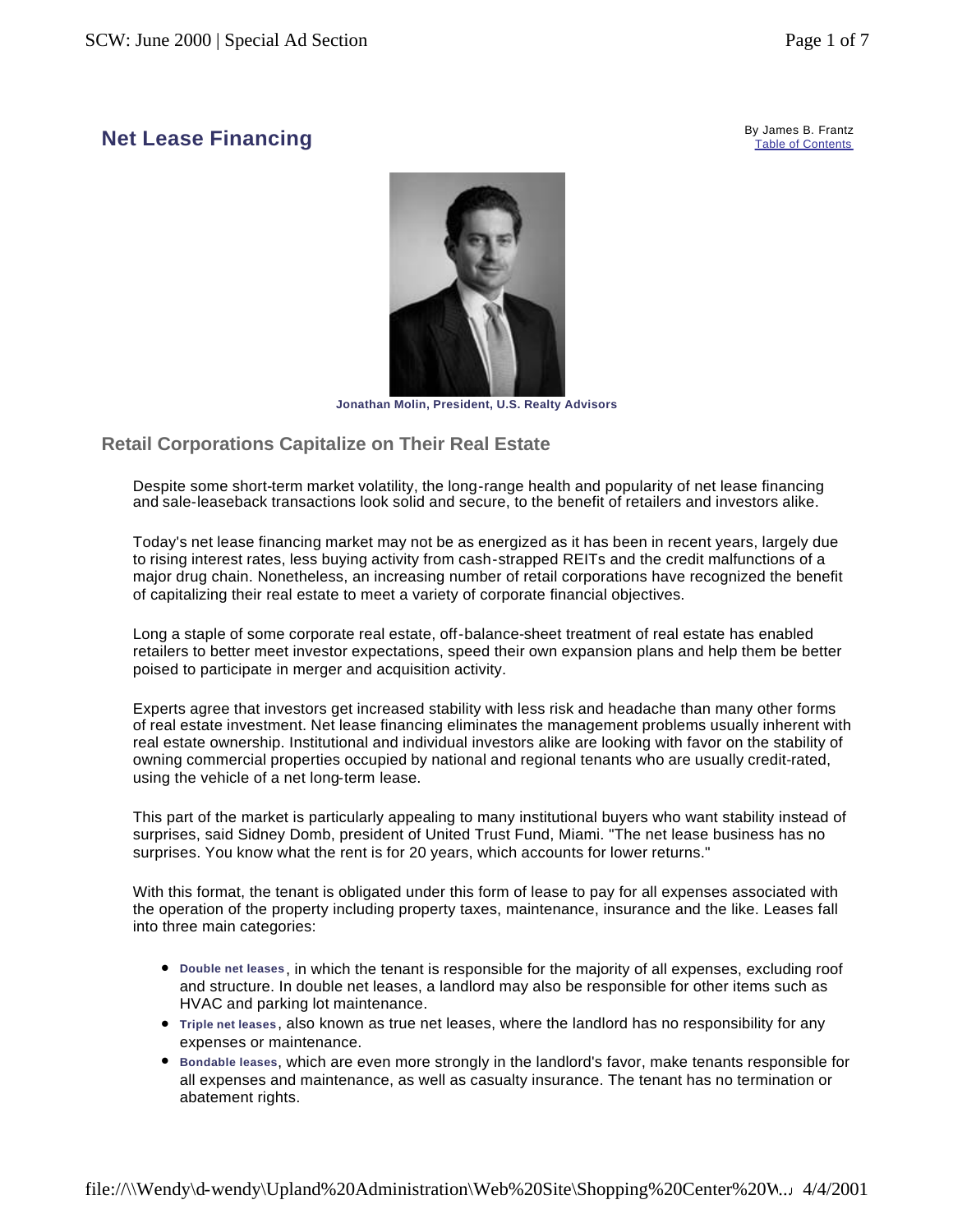#### **Net Lease Financing**<br> **Ref Lease Financing** Table of Contents



**Jonathan Molin, President, U.S. Realty Advisors** 

# **Retail Corporations Capitalize on Their Real Estate**

Despite some short-term market volatility, the long-range health and popularity of net lease financing and sale-leaseback transactions look solid and secure, to the benefit of retailers and investors alike.

Today's net lease financing market may not be as energized as it has been in recent years, largely due to rising interest rates, less buying activity from cash-strapped REITs and the credit malfunctions of a major drug chain. Nonetheless, an increasing number of retail corporations have recognized the benefit of capitalizing their real estate to meet a variety of corporate financial objectives.

Long a staple of some corporate real estate, off-balance-sheet treatment of real estate has enabled retailers to better meet investor expectations, speed their own expansion plans and help them be better poised to participate in merger and acquisition activity.

Experts agree that investors get increased stability with less risk and headache than many other forms of real estate investment. Net lease financing eliminates the management problems usually inherent with real estate ownership. Institutional and individual investors alike are looking with favor on the stability of owning commercial properties occupied by national and regional tenants who are usually credit-rated, using the vehicle of a net long-term lease.

This part of the market is particularly appealing to many institutional buyers who want stability instead of surprises, said Sidney Domb, president of United Trust Fund, Miami. "The net lease business has no surprises. You know what the rent is for 20 years, which accounts for lower returns."

With this format, the tenant is obligated under this form of lease to pay for all expenses associated with the operation of the property including property taxes, maintenance, insurance and the like. Leases fall into three main categories:

- <sup>l</sup> **Double net leases**, in which the tenant is responsible for the majority of all expenses, excluding roof and structure. In double net leases, a landlord may also be responsible for other items such as HVAC and parking lot maintenance.
- <sup>l</sup> **Triple net leases**, also known as true net leases, where the landlord has no responsibility for any expenses or maintenance.
- **Bondable leases, which are even more strongly in the landlord's favor, make tenants responsible for** all expenses and maintenance, as well as casualty insurance. The tenant has no termination or abatement rights.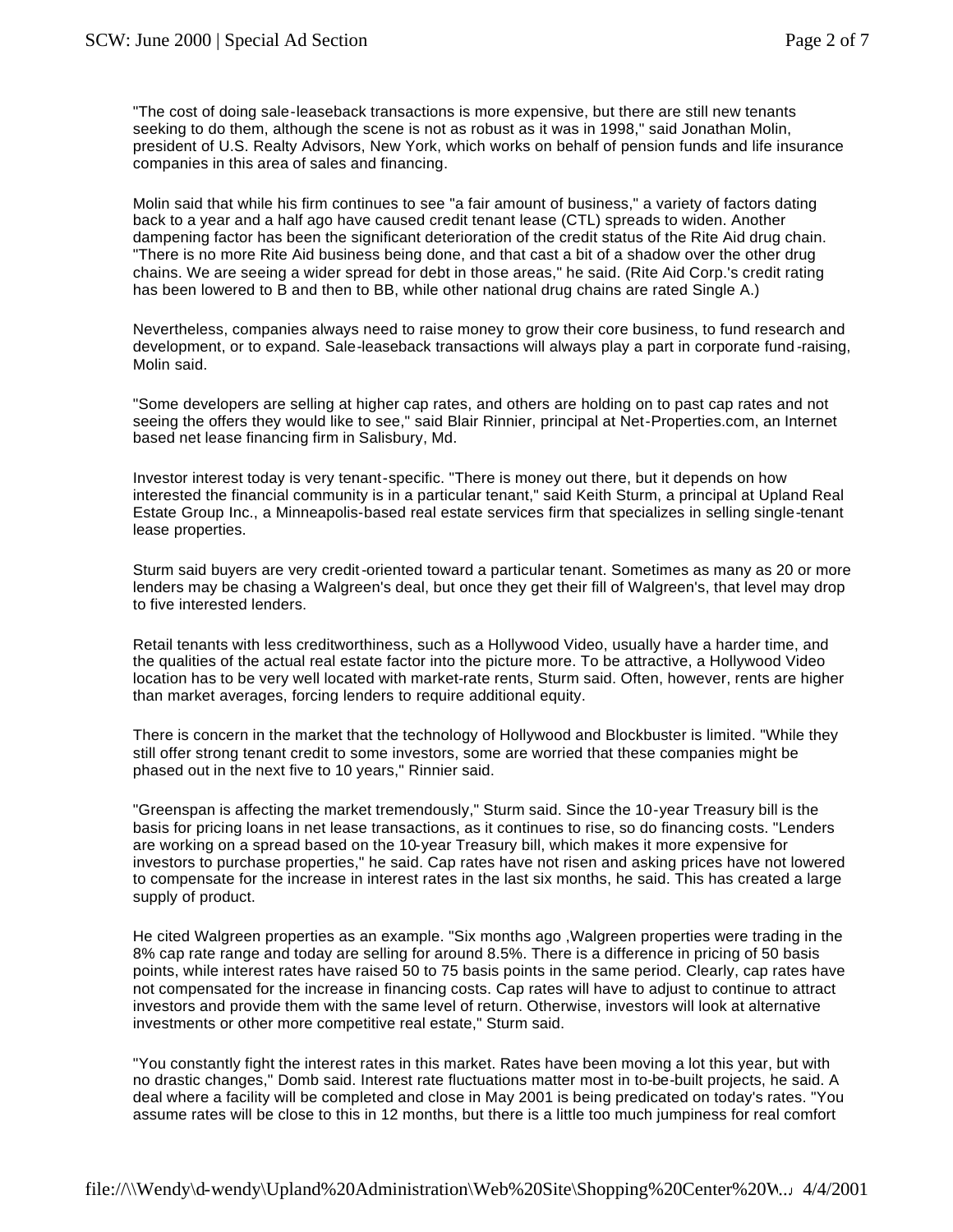"The cost of doing sale-leaseback transactions is more expensive, but there are still new tenants seeking to do them, although the scene is not as robust as it was in 1998," said Jonathan Molin, president of U.S. Realty Advisors, New York, which works on behalf of pension funds and life insurance companies in this area of sales and financing.

Molin said that while his firm continues to see "a fair amount of business," a variety of factors dating back to a year and a half ago have caused credit tenant lease (CTL) spreads to widen. Another dampening factor has been the significant deterioration of the credit status of the Rite Aid drug chain. "There is no more Rite Aid business being done, and that cast a bit of a shadow over the other drug chains. We are seeing a wider spread for debt in those areas," he said. (Rite Aid Corp.'s credit rating has been lowered to B and then to BB, while other national drug chains are rated Single A.)

Nevertheless, companies always need to raise money to grow their core business, to fund research and development, or to expand. Sale-leaseback transactions will always play a part in corporate fund -raising, Molin said.

"Some developers are selling at higher cap rates, and others are holding on to past cap rates and not seeing the offers they would like to see," said Blair Rinnier, principal at Net-Properties.com, an Internet based net lease financing firm in Salisbury, Md.

Investor interest today is very tenant-specific. "There is money out there, but it depends on how interested the financial community is in a particular tenant," said Keith Sturm, a principal at Upland Real Estate Group Inc., a Minneapolis-based real estate services firm that specializes in selling single-tenant lease properties.

Sturm said buyers are very credit-oriented toward a particular tenant. Sometimes as many as 20 or more lenders may be chasing a Walgreen's deal, but once they get their fill of Walgreen's, that level may drop to five interested lenders.

Retail tenants with less creditworthiness, such as a Hollywood Video, usually have a harder time, and the qualities of the actual real estate factor into the picture more. To be attractive, a Hollywood Video location has to be very well located with market-rate rents, Sturm said. Often, however, rents are higher than market averages, forcing lenders to require additional equity.

There is concern in the market that the technology of Hollywood and Blockbuster is limited. "While they still offer strong tenant credit to some investors, some are worried that these companies might be phased out in the next five to 10 years," Rinnier said.

"Greenspan is affecting the market tremendously," Sturm said. Since the 10-year Treasury bill is the basis for pricing loans in net lease transactions, as it continues to rise, so do financing costs. "Lenders are working on a spread based on the 10-year Treasury bill, which makes it more expensive for investors to purchase properties," he said. Cap rates have not risen and asking prices have not lowered to compensate for the increase in interest rates in the last six months, he said. This has created a large supply of product.

He cited Walgreen properties as an example. "Six months ago ,Walgreen properties were trading in the 8% cap rate range and today are selling for around 8.5%. There is a difference in pricing of 50 basis points, while interest rates have raised 50 to 75 basis points in the same period. Clearly, cap rates have not compensated for the increase in financing costs. Cap rates will have to adjust to continue to attract investors and provide them with the same level of return. Otherwise, investors will look at alternative investments or other more competitive real estate," Sturm said.

"You constantly fight the interest rates in this market. Rates have been moving a lot this year, but with no drastic changes," Domb said. Interest rate fluctuations matter most in to-be-built projects, he said. A deal where a facility will be completed and close in May 2001 is being predicated on today's rates. "You assume rates will be close to this in 12 months, but there is a little too much jumpiness for real comfort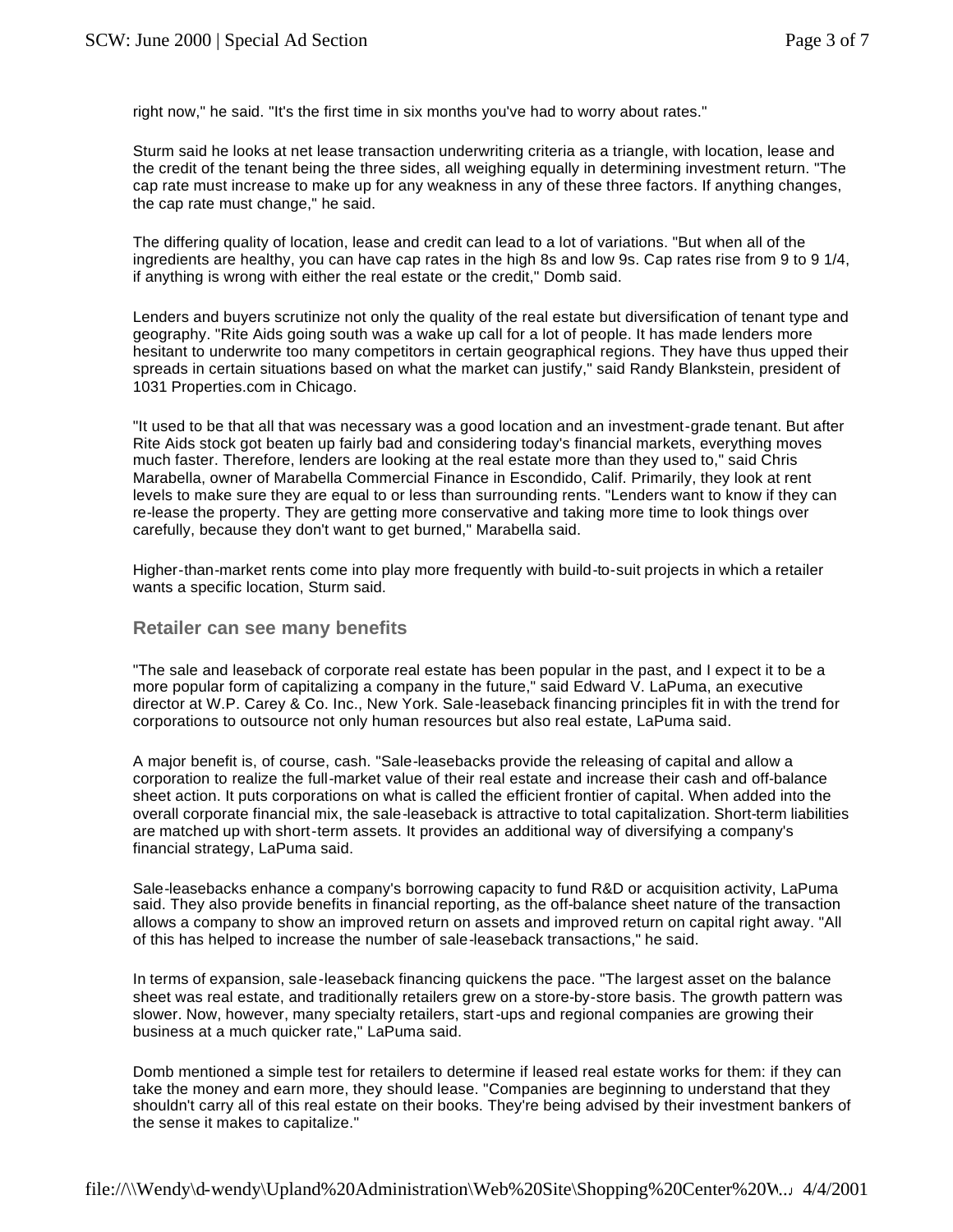right now," he said. "It's the first time in six months you've had to worry about rates."

Sturm said he looks at net lease transaction underwriting criteria as a triangle, with location, lease and the credit of the tenant being the three sides, all weighing equally in determining investment return. "The cap rate must increase to make up for any weakness in any of these three factors. If anything changes, the cap rate must change," he said.

The differing quality of location, lease and credit can lead to a lot of variations. "But when all of the ingredients are healthy, you can have cap rates in the high 8s and low 9s. Cap rates rise from 9 to 9 1/4, if anything is wrong with either the real estate or the credit," Domb said.

Lenders and buyers scrutinize not only the quality of the real estate but diversification of tenant type and geography. "Rite Aids going south was a wake up call for a lot of people. It has made lenders more hesitant to underwrite too many competitors in certain geographical regions. They have thus upped their spreads in certain situations based on what the market can justify," said Randy Blankstein, president of 1031 Properties.com in Chicago.

"It used to be that all that was necessary was a good location and an investment-grade tenant. But after Rite Aids stock got beaten up fairly bad and considering today's financial markets, everything moves much faster. Therefore, lenders are looking at the real estate more than they used to," said Chris Marabella, owner of Marabella Commercial Finance in Escondido, Calif. Primarily, they look at rent levels to make sure they are equal to or less than surrounding rents. "Lenders want to know if they can re-lease the property. They are getting more conservative and taking more time to look things over carefully, because they don't want to get burned," Marabella said.

Higher-than-market rents come into play more frequently with build-to-suit projects in which a retailer wants a specific location, Sturm said.

#### **Retailer can see many benefits**

"The sale and leaseback of corporate real estate has been popular in the past, and I expect it to be a more popular form of capitalizing a company in the future," said Edward V. LaPuma, an executive director at W.P. Carey & Co. Inc., New York. Sale-leaseback financing principles fit in with the trend for corporations to outsource not only human resources but also real estate, LaPuma said.

A major benefit is, of course, cash. "Sale-leasebacks provide the releasing of capital and allow a corporation to realize the full-market value of their real estate and increase their cash and off-balance sheet action. It puts corporations on what is called the efficient frontier of capital. When added into the overall corporate financial mix, the sale-leaseback is attractive to total capitalization. Short-term liabilities are matched up with short-term assets. It provides an additional way of diversifying a company's financial strategy, LaPuma said.

Sale-leasebacks enhance a company's borrowing capacity to fund R&D or acquisition activity, LaPuma said. They also provide benefits in financial reporting, as the off-balance sheet nature of the transaction allows a company to show an improved return on assets and improved return on capital right away. "All of this has helped to increase the number of sale-leaseback transactions," he said.

In terms of expansion, sale-leaseback financing quickens the pace. "The largest asset on the balance sheet was real estate, and traditionally retailers grew on a store-by-store basis. The growth pattern was slower. Now, however, many specialty retailers, start-ups and regional companies are growing their business at a much quicker rate," LaPuma said.

Domb mentioned a simple test for retailers to determine if leased real estate works for them: if they can take the money and earn more, they should lease. "Companies are beginning to understand that they shouldn't carry all of this real estate on their books. They're being advised by their investment bankers of the sense it makes to capitalize."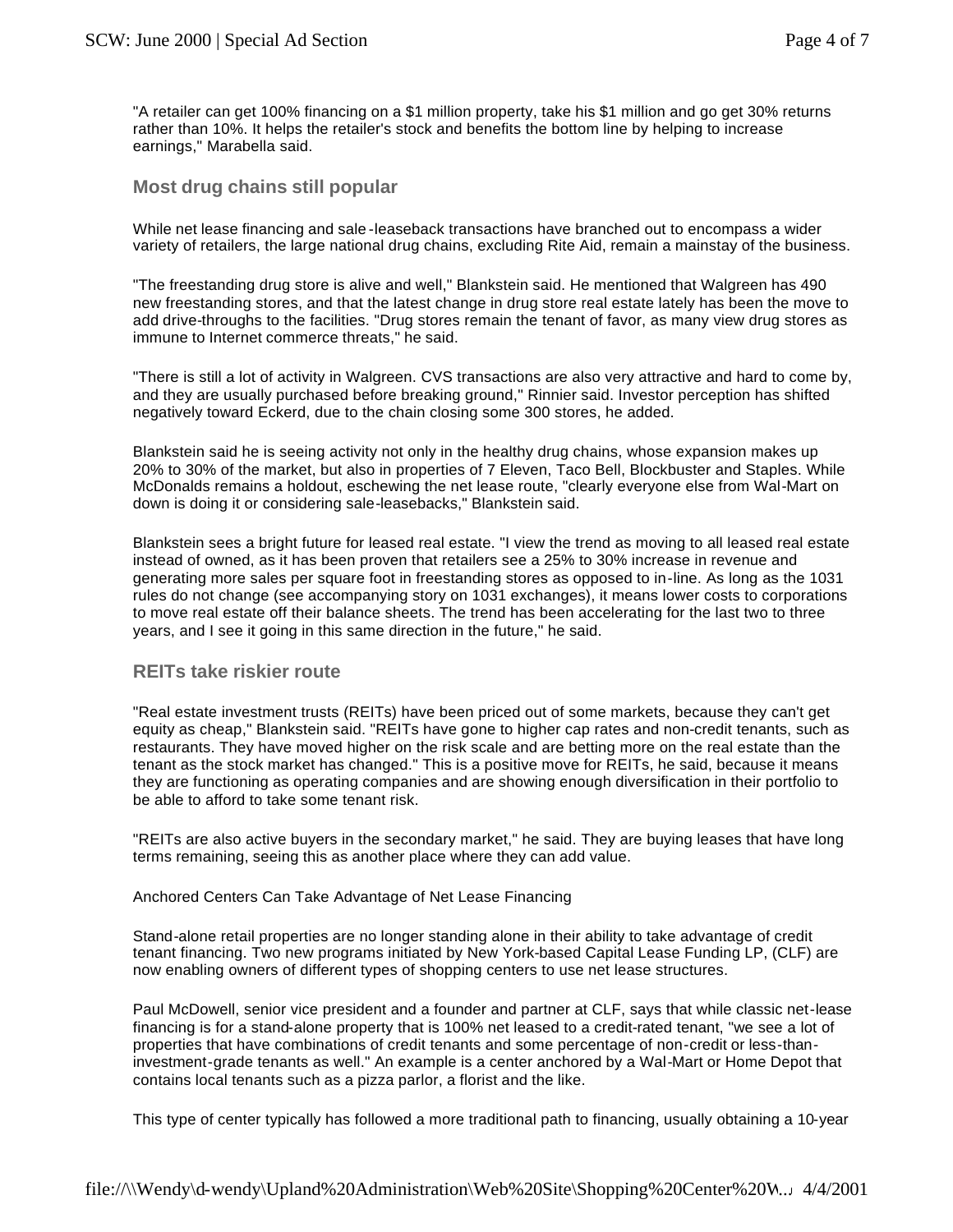"A retailer can get 100% financing on a \$1 million property, take his \$1 million and go get 30% returns rather than 10%. It helps the retailer's stock and benefits the bottom line by helping to increase earnings," Marabella said.

### **Most drug chains still popular**

While net lease financing and sale -leaseback transactions have branched out to encompass a wider variety of retailers, the large national drug chains, excluding Rite Aid, remain a mainstay of the business.

"The freestanding drug store is alive and well," Blankstein said. He mentioned that Walgreen has 490 new freestanding stores, and that the latest change in drug store real estate lately has been the move to add drive-throughs to the facilities. "Drug stores remain the tenant of favor, as many view drug stores as immune to Internet commerce threats," he said.

"There is still a lot of activity in Walgreen. CVS transactions are also very attractive and hard to come by, and they are usually purchased before breaking ground," Rinnier said. Investor perception has shifted negatively toward Eckerd, due to the chain closing some 300 stores, he added.

Blankstein said he is seeing activity not only in the healthy drug chains, whose expansion makes up 20% to 30% of the market, but also in properties of 7 Eleven, Taco Bell, Blockbuster and Staples. While McDonalds remains a holdout, eschewing the net lease route, "clearly everyone else from Wal-Mart on down is doing it or considering sale-leasebacks," Blankstein said.

Blankstein sees a bright future for leased real estate. "I view the trend as moving to all leased real estate instead of owned, as it has been proven that retailers see a 25% to 30% increase in revenue and generating more sales per square foot in freestanding stores as opposed to in-line. As long as the 1031 rules do not change (see accompanying story on 1031 exchanges), it means lower costs to corporations to move real estate off their balance sheets. The trend has been accelerating for the last two to three years, and I see it going in this same direction in the future," he said.

#### **REITs take riskier route**

"Real estate investment trusts (REITs) have been priced out of some markets, because they can't get equity as cheap," Blankstein said. "REITs have gone to higher cap rates and non-credit tenants, such as restaurants. They have moved higher on the risk scale and are betting more on the real estate than the tenant as the stock market has changed." This is a positive move for REITs, he said, because it means they are functioning as operating companies and are showing enough diversification in their portfolio to be able to afford to take some tenant risk.

"REITs are also active buyers in the secondary market," he said. They are buying leases that have long terms remaining, seeing this as another place where they can add value.

#### Anchored Centers Can Take Advantage of Net Lease Financing

Stand-alone retail properties are no longer standing alone in their ability to take advantage of credit tenant financing. Two new programs initiated by New York-based Capital Lease Funding LP, (CLF) are now enabling owners of different types of shopping centers to use net lease structures.

Paul McDowell, senior vice president and a founder and partner at CLF, says that while classic net-lease financing is for a stand-alone property that is 100% net leased to a credit-rated tenant, "we see a lot of properties that have combinations of credit tenants and some percentage of non-credit or less-thaninvestment-grade tenants as well." An example is a center anchored by a Wal-Mart or Home Depot that contains local tenants such as a pizza parlor, a florist and the like.

This type of center typically has followed a more traditional path to financing, usually obtaining a 10-year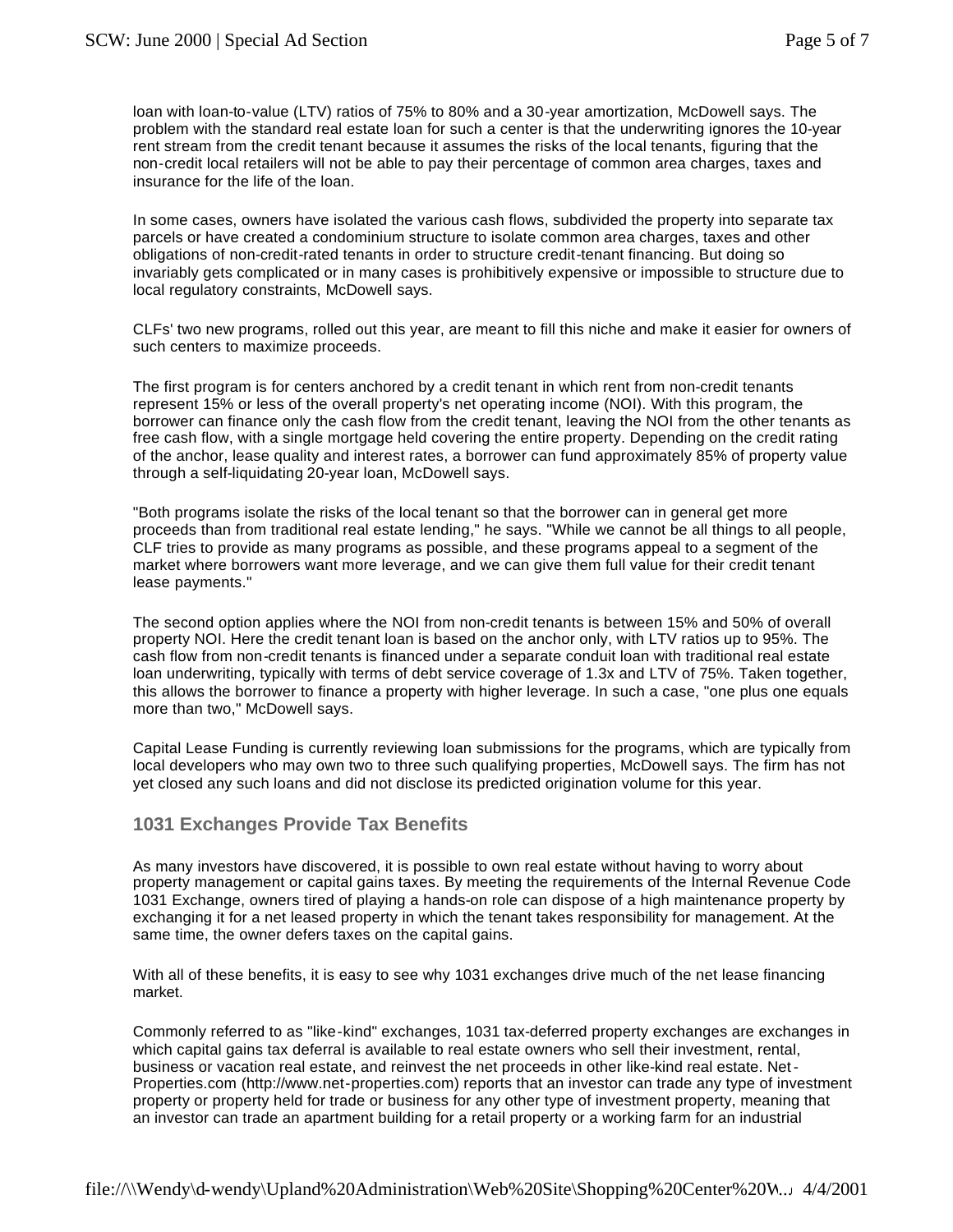loan with loan-to-value (LTV) ratios of 75% to 80% and a 30-year amortization, McDowell says. The problem with the standard real estate loan for such a center is that the underwriting ignores the 10-year rent stream from the credit tenant because it assumes the risks of the local tenants, figuring that the non-credit local retailers will not be able to pay their percentage of common area charges, taxes and insurance for the life of the loan.

In some cases, owners have isolated the various cash flows, subdivided the property into separate tax parcels or have created a condominium structure to isolate common area charges, taxes and other obligations of non-credit-rated tenants in order to structure credit-tenant financing. But doing so invariably gets complicated or in many cases is prohibitively expensive or impossible to structure due to local regulatory constraints, McDowell says.

CLFs' two new programs, rolled out this year, are meant to fill this niche and make it easier for owners of such centers to maximize proceeds.

The first program is for centers anchored by a credit tenant in which rent from non-credit tenants represent 15% or less of the overall property's net operating income (NOI). With this program, the borrower can finance only the cash flow from the credit tenant, leaving the NOI from the other tenants as free cash flow, with a single mortgage held covering the entire property. Depending on the credit rating of the anchor, lease quality and interest rates, a borrower can fund approximately 85% of property value through a self-liquidating 20-year loan, McDowell says.

"Both programs isolate the risks of the local tenant so that the borrower can in general get more proceeds than from traditional real estate lending," he says. "While we cannot be all things to all people, CLF tries to provide as many programs as possible, and these programs appeal to a segment of the market where borrowers want more leverage, and we can give them full value for their credit tenant lease payments."

The second option applies where the NOI from non-credit tenants is between 15% and 50% of overall property NOI. Here the credit tenant loan is based on the anchor only, with LTV ratios up to 95%. The cash flow from non-credit tenants is financed under a separate conduit loan with traditional real estate loan underwriting, typically with terms of debt service coverage of 1.3x and LTV of 75%. Taken together, this allows the borrower to finance a property with higher leverage. In such a case, "one plus one equals more than two," McDowell says.

Capital Lease Funding is currently reviewing loan submissions for the programs, which are typically from local developers who may own two to three such qualifying properties, McDowell says. The firm has not yet closed any such loans and did not disclose its predicted origination volume for this year.

## **1031 Exchanges Provide Tax Benefits**

As many investors have discovered, it is possible to own real estate without having to worry about property management or capital gains taxes. By meeting the requirements of the Internal Revenue Code 1031 Exchange, owners tired of playing a hands-on role can dispose of a high maintenance property by exchanging it for a net leased property in which the tenant takes responsibility for management. At the same time, the owner defers taxes on the capital gains.

With all of these benefits, it is easy to see why 1031 exchanges drive much of the net lease financing market.

Commonly referred to as "like-kind" exchanges, 1031 tax-deferred property exchanges are exchanges in which capital gains tax deferral is available to real estate owners who sell their investment, rental, business or vacation real estate, and reinvest the net proceeds in other like-kind real estate. Net-Properties.com (http://www.net-properties.com) reports that an investor can trade any type of investment property or property held for trade or business for any other type of investment property, meaning that an investor can trade an apartment building for a retail property or a working farm for an industrial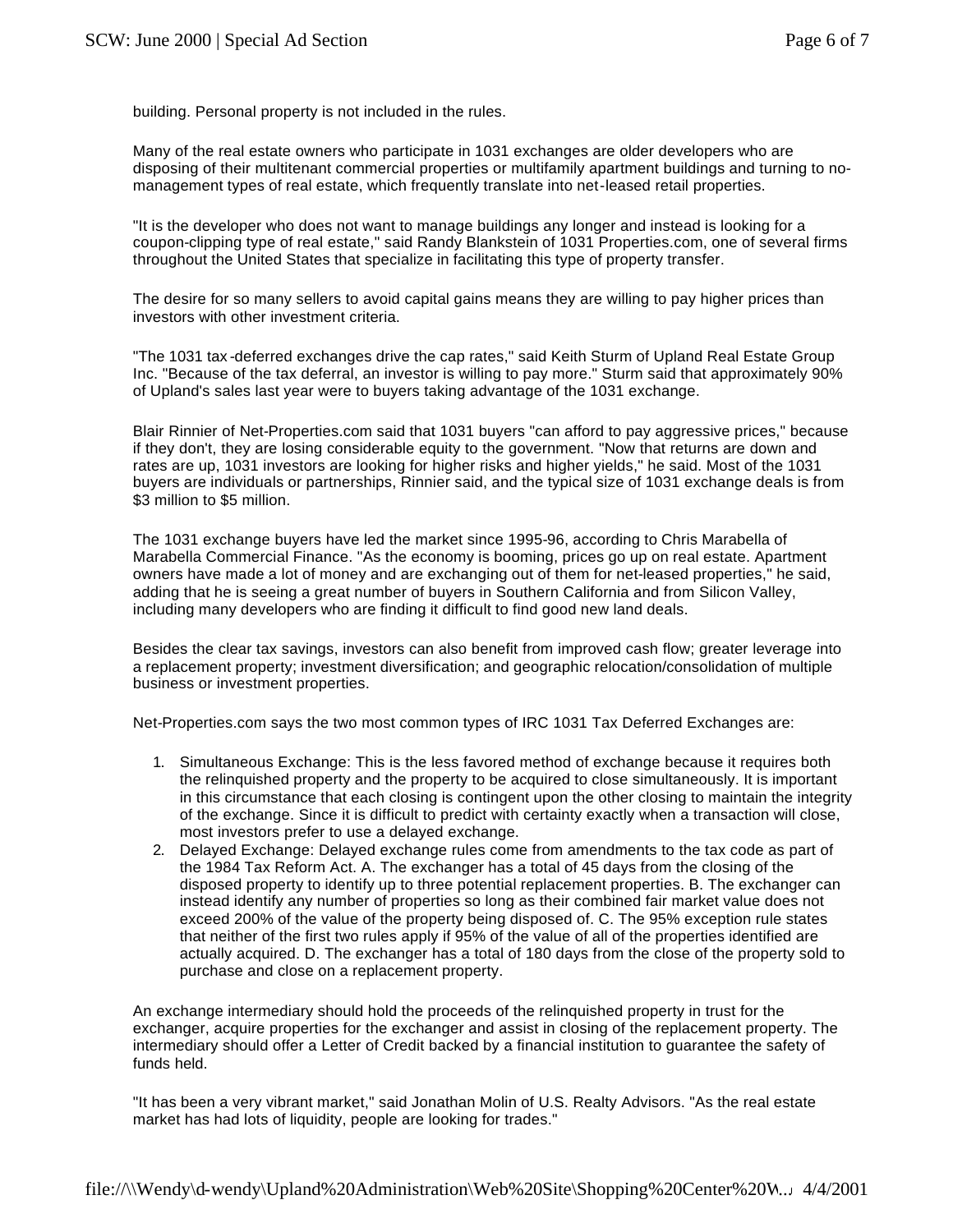building. Personal property is not included in the rules.

Many of the real estate owners who participate in 1031 exchanges are older developers who are disposing of their multitenant commercial properties or multifamily apartment buildings and turning to nomanagement types of real estate, which frequently translate into net-leased retail properties.

"It is the developer who does not want to manage buildings any longer and instead is looking for a coupon-clipping type of real estate," said Randy Blankstein of 1031 Properties.com, one of several firms throughout the United States that specialize in facilitating this type of property transfer.

The desire for so many sellers to avoid capital gains means they are willing to pay higher prices than investors with other investment criteria.

"The 1031 tax -deferred exchanges drive the cap rates," said Keith Sturm of Upland Real Estate Group Inc. "Because of the tax deferral, an investor is willing to pay more." Sturm said that approximately 90% of Upland's sales last year were to buyers taking advantage of the 1031 exchange.

Blair Rinnier of Net-Properties.com said that 1031 buyers "can afford to pay aggressive prices," because if they don't, they are losing considerable equity to the government. "Now that returns are down and rates are up, 1031 investors are looking for higher risks and higher yields," he said. Most of the 1031 buyers are individuals or partnerships, Rinnier said, and the typical size of 1031 exchange deals is from \$3 million to \$5 million.

The 1031 exchange buyers have led the market since 1995-96, according to Chris Marabella of Marabella Commercial Finance. "As the economy is booming, prices go up on real estate. Apartment owners have made a lot of money and are exchanging out of them for net-leased properties," he said, adding that he is seeing a great number of buyers in Southern California and from Silicon Valley, including many developers who are finding it difficult to find good new land deals.

Besides the clear tax savings, investors can also benefit from improved cash flow; greater leverage into a replacement property; investment diversification; and geographic relocation/consolidation of multiple business or investment properties.

Net-Properties.com says the two most common types of IRC 1031 Tax Deferred Exchanges are:

- 1. Simultaneous Exchange: This is the less favored method of exchange because it requires both the relinquished property and the property to be acquired to close simultaneously. It is important in this circumstance that each closing is contingent upon the other closing to maintain the integrity of the exchange. Since it is difficult to predict with certainty exactly when a transaction will close, most investors prefer to use a delayed exchange.
- 2. Delayed Exchange: Delayed exchange rules come from amendments to the tax code as part of the 1984 Tax Reform Act. A. The exchanger has a total of 45 days from the closing of the disposed property to identify up to three potential replacement properties. B. The exchanger can instead identify any number of properties so long as their combined fair market value does not exceed 200% of the value of the property being disposed of. C. The 95% exception rule states that neither of the first two rules apply if 95% of the value of all of the properties identified are actually acquired. D. The exchanger has a total of 180 days from the close of the property sold to purchase and close on a replacement property.

An exchange intermediary should hold the proceeds of the relinquished property in trust for the exchanger, acquire properties for the exchanger and assist in closing of the replacement property. The intermediary should offer a Letter of Credit backed by a financial institution to guarantee the safety of funds held.

"It has been a very vibrant market," said Jonathan Molin of U.S. Realty Advisors. "As the real estate market has had lots of liquidity, people are looking for trades."